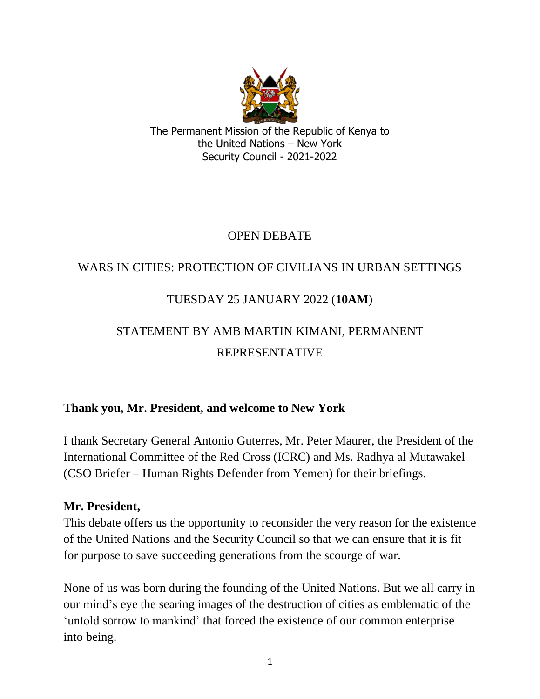

The Permanent Mission of the Republic of Kenya to the United Nations – New York Security Council - 2021-2022

## OPEN DEBATE

## WARS IN CITIES: PROTECTION OF CIVILIANS IN URBAN SETTINGS

## TUESDAY 25 JANUARY 2022 (**10AM**)

# STATEMENT BY AMB MARTIN KIMANI, PERMANENT REPRESENTATIVE

### **Thank you, Mr. President, and welcome to New York**

I thank Secretary General Antonio Guterres, Mr. Peter Maurer, the President of the International Committee of the Red Cross (ICRC) and Ms. Radhya al Mutawakel (CSO Briefer – Human Rights Defender from Yemen) for their briefings.

#### **Mr. President,**

This debate offers us the opportunity to reconsider the very reason for the existence of the United Nations and the Security Council so that we can ensure that it is fit for purpose to save succeeding generations from the scourge of war.

None of us was born during the founding of the United Nations. But we all carry in our mind's eye the searing images of the destruction of cities as emblematic of the 'untold sorrow to mankind' that forced the existence of our common enterprise into being.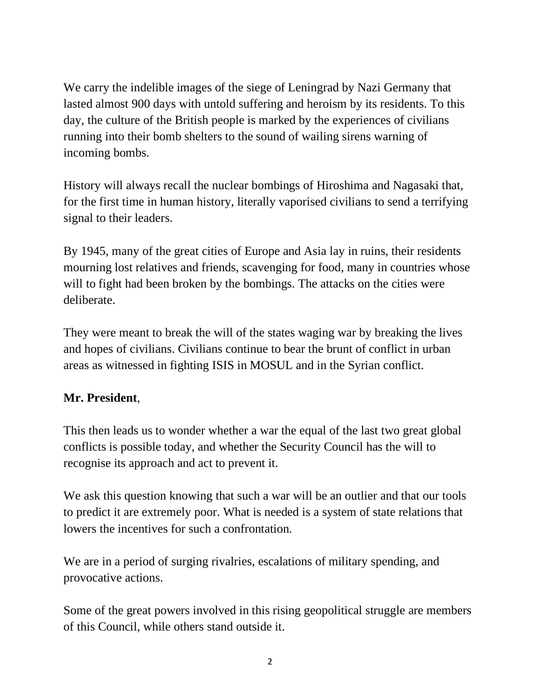We carry the indelible images of the siege of Leningrad by Nazi Germany that lasted almost 900 days with untold suffering and heroism by its residents. To this day, the culture of the British people is marked by the experiences of civilians running into their bomb shelters to the sound of wailing sirens warning of incoming bombs.

History will always recall the nuclear bombings of Hiroshima and Nagasaki that, for the first time in human history, literally vaporised civilians to send a terrifying signal to their leaders.

By 1945, many of the great cities of Europe and Asia lay in ruins, their residents mourning lost relatives and friends, scavenging for food, many in countries whose will to fight had been broken by the bombings. The attacks on the cities were deliberate.

They were meant to break the will of the states waging war by breaking the lives and hopes of civilians. Civilians continue to bear the brunt of conflict in urban areas as witnessed in fighting ISIS in MOSUL and in the Syrian conflict.

## **Mr. President**,

This then leads us to wonder whether a war the equal of the last two great global conflicts is possible today, and whether the Security Council has the will to recognise its approach and act to prevent it.

We ask this question knowing that such a war will be an outlier and that our tools to predict it are extremely poor. What is needed is a system of state relations that lowers the incentives for such a confrontation.

We are in a period of surging rivalries, escalations of military spending, and provocative actions.

Some of the great powers involved in this rising geopolitical struggle are members of this Council, while others stand outside it.